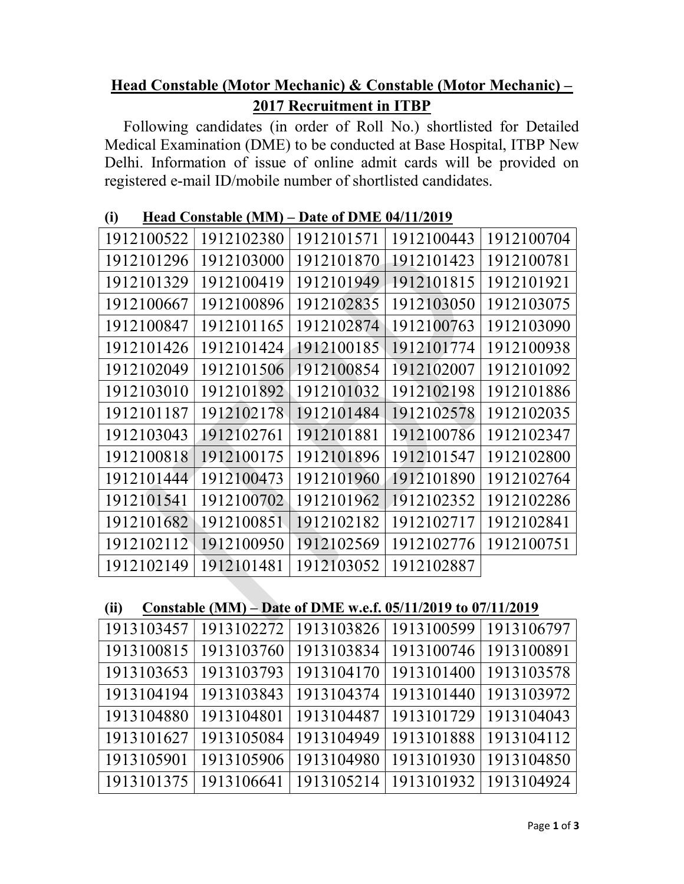## Head Constable (Motor Mechanic) & Constable (Motor Mechanic) – 2017 Recruitment in ITBP

Following candidates (in order of Roll No.) shortlisted for Detailed Medical Examination (DME) to be conducted at Base Hospital, ITBP New Delhi. Information of issue of online admit cards will be provided on registered e-mail ID/mobile number of shortlisted candidates.

| (i) |
|-----|
|-----|

| 1912100522 | 1912102380 | 1912101571 | 1912100443 | 1912100704 |
|------------|------------|------------|------------|------------|
| 1912101296 | 1912103000 | 1912101870 | 1912101423 | 1912100781 |
| 1912101329 | 1912100419 | 1912101949 | 1912101815 | 1912101921 |
| 1912100667 | 1912100896 | 1912102835 | 1912103050 | 1912103075 |
| 1912100847 | 1912101165 | 1912102874 | 1912100763 | 1912103090 |
| 1912101426 | 1912101424 | 1912100185 | 1912101774 | 1912100938 |
| 1912102049 | 1912101506 | 1912100854 | 1912102007 | 1912101092 |
| 1912103010 | 1912101892 | 1912101032 | 1912102198 | 1912101886 |
| 1912101187 | 1912102178 | 1912101484 | 1912102578 | 1912102035 |
| 1912103043 | 1912102761 | 1912101881 | 1912100786 | 1912102347 |
| 1912100818 | 1912100175 | 1912101896 | 1912101547 | 1912102800 |
| 1912101444 | 1912100473 | 1912101960 | 1912101890 | 1912102764 |
| 1912101541 | 1912100702 | 1912101962 | 1912102352 | 1912102286 |
| 1912101682 | 1912100851 | 1912102182 | 1912102717 | 1912102841 |
| 1912102112 | 1912100950 | 1912102569 | 1912102776 | 1912100751 |
| 1912102149 | 1912101481 | 1912103052 | 1912102887 |            |

| Constable (MM) – Date of DME w.e.f. $05/11/2019$ to $07/11/2019$<br>(ii) |
|--------------------------------------------------------------------------|
|--------------------------------------------------------------------------|

|                         | 1913103457   1913102272   1913103826   1913100599   1913106797 |                                      |  |
|-------------------------|----------------------------------------------------------------|--------------------------------------|--|
|                         | 1913100815   1913103760                                        | 1913103834   1913100746   1913100891 |  |
| 1913103653   1913103793 |                                                                | 1913104170   1913101400   1913103578 |  |
| 1913104194   1913103843 |                                                                | 1913104374   1913101440   1913103972 |  |
| 1913104880   1913104801 |                                                                | 1913104487   1913101729   1913104043 |  |
|                         | 1913101627   1913105084                                        | 1913104949   1913101888   1913104112 |  |
|                         | 1913105901   1913105906                                        | 1913104980   1913101930   1913104850 |  |
| 1913101375   1913106641 |                                                                | 1913105214   1913101932   1913104924 |  |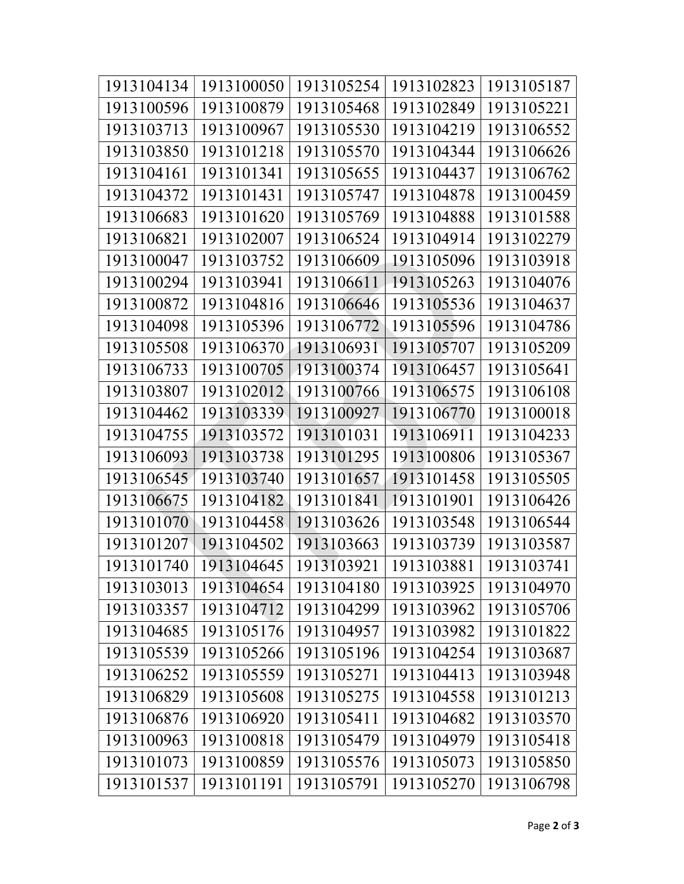| 1913104134 | 1913100050 | 1913105254 | 1913102823 | 1913105187 |
|------------|------------|------------|------------|------------|
| 1913100596 | 1913100879 | 1913105468 | 1913102849 | 1913105221 |
| 1913103713 | 1913100967 | 1913105530 | 1913104219 | 1913106552 |
| 1913103850 | 1913101218 | 1913105570 | 1913104344 | 1913106626 |
| 1913104161 | 1913101341 | 1913105655 | 1913104437 | 1913106762 |
| 1913104372 | 1913101431 | 1913105747 | 1913104878 | 1913100459 |
| 1913106683 | 1913101620 | 1913105769 | 1913104888 | 1913101588 |
| 1913106821 | 1913102007 | 1913106524 | 1913104914 | 1913102279 |
| 1913100047 | 1913103752 | 1913106609 | 1913105096 | 1913103918 |
| 1913100294 | 1913103941 | 1913106611 | 1913105263 | 1913104076 |
| 1913100872 | 1913104816 | 1913106646 | 1913105536 | 1913104637 |
| 1913104098 | 1913105396 | 1913106772 | 1913105596 | 1913104786 |
| 1913105508 | 1913106370 | 1913106931 | 1913105707 | 1913105209 |
| 1913106733 | 1913100705 | 1913100374 | 1913106457 | 1913105641 |
| 1913103807 | 1913102012 | 1913100766 | 1913106575 | 1913106108 |
| 1913104462 | 1913103339 | 1913100927 | 1913106770 | 1913100018 |
| 1913104755 | 1913103572 | 1913101031 | 1913106911 | 1913104233 |
| 1913106093 | 1913103738 | 1913101295 | 1913100806 | 1913105367 |
| 1913106545 | 1913103740 | 1913101657 | 1913101458 | 1913105505 |
| 1913106675 | 1913104182 | 1913101841 | 1913101901 | 1913106426 |
| 1913101070 | 1913104458 | 1913103626 | 1913103548 | 1913106544 |
| 1913101207 | 1913104502 | 1913103663 | 1913103739 | 1913103587 |
| 1913101740 | 1913104645 | 1913103921 | 1913103881 | 1913103741 |
| 1913103013 | 1913104654 | 1913104180 | 1913103925 | 1913104970 |
| 1913103357 | 1913104712 | 1913104299 | 1913103962 | 1913105706 |
| 1913104685 | 1913105176 | 1913104957 | 1913103982 | 1913101822 |
| 1913105539 | 1913105266 | 1913105196 | 1913104254 | 1913103687 |
| 1913106252 | 1913105559 | 1913105271 | 1913104413 | 1913103948 |
| 1913106829 | 1913105608 | 1913105275 | 1913104558 | 1913101213 |
| 1913106876 | 1913106920 | 1913105411 | 1913104682 | 1913103570 |
| 1913100963 | 1913100818 | 1913105479 | 1913104979 | 1913105418 |
| 1913101073 | 1913100859 | 1913105576 | 1913105073 | 1913105850 |
| 1913101537 | 1913101191 | 1913105791 | 1913105270 | 1913106798 |